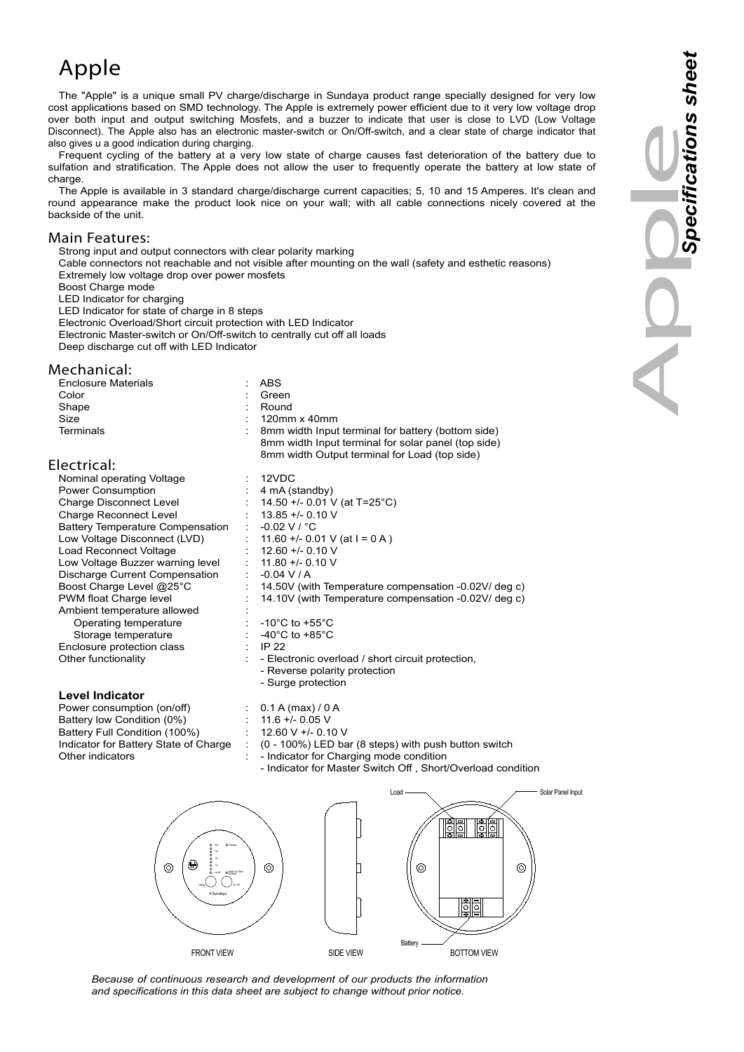# Apple

The "Apple" is a unique small PV charge/discharge in Sundaya product range specially designed for very low cost applications based on SMD technology. The Apple is extremely power efficient due to it very low voltage drop over both input and output switching Mosfets, and a buzzer to indicate that user is close to LVD (Low Voltage Disconnect). The Apple also has an electronic master-switch or On/Off-switch, and a clear state of charge indicator that also gives u a good indication during charging.

Frequent cycling of the battery at a very low state of charge causes fast deterioration of the battery due to sulfation and stratification. The Apple does not allow the user to frequently operate the battery at low state of charge.

The Apple is available in 3 standard charge/discharge current capacities; 5, 10 and 15 Amperes. It's clean and round appearance make the product look nice on your wall; with all cable connections nicely covered at the backside of the unit.

# Main Features:

Strong input and output connectors with clear polarity marking

Cable connectors not reachable and not visible after mounting on the wall (safety and esthetic reasons) Extremely low voltage drop over power mosfets

Boost Charge mode

LED Indicator for charging

LED Indicator for state of charge in 8 steps

Electronic Overload/Short circuit protection with LED Indicator

Electronic Master-switch or On/Off-switch to centrally cut off all loads Deep discharge cut off with LED Indicator

# Mechanical:

Enclosure Materials : ABS Color : Green Shape : Round Size : 120mm x 40mm<br>Terminals : 120mm x 40mm 7erminals

Electrical:

Nominal operating Voltage : 12VDC Power Consumption : 4 mA (standby) Charge Disconnect Level : 14.50 +/- 0.01 V (at T=25°C)<br>Charge Reconnect Level : 13.85 +/- 0.10 V Charge Reconnect Level : 13.85 +/- 0.<br>Battery Temperature Compensation : -0.02 V / °C Battery Temperature Compensation : -0.02 V / °C<br>Low Voltage Disconnect (LVD) : 11.60 +/- 0.01 V (at I = 0 A) Low Voltage Disconnect (LVD) Load Reconnect Voltage : 12.60 +/- 0.10 V Low Voltage Buzzer warning level : 11.80 +/- 0.10 V<br>Discharge Current Compensation : -0.04 V / A Discharge Current Compensation<br>Boost Charge Level @25°C Ambient temperature allowed : Operating temperature  $\begin{array}{ccc} \text{3} & \text{4} & \text{4} \\ \text{5} & \text{5} & \text{4} \\ \text{6} & \text{6} & \text{4} \\ \text{7} & \text{7} & \text{4} \\ \text{8} & \text{7} & \text{4} \\ \text{9} & \text{8} & \text{5} \\ \text{10} & \text{9} & \text{4} \\ \text{11} & \text{12} & \text{4} \\ \text{13} & \text{15} & \text{4} \\ \text{14} & \text{16} & \text{4} \\ \text{15$ Storage temperature :  $-40^{\circ}$ C<br>closure protection class Enclosure protection class<br>Other functionality

**Level Indicator** 

Power consumption (on/off) : 0.1 A (max) / 0 A Battery low Condition (0%) : 11.6 +/- 0.05 V<br>Battery Full Condition (100%) : 12.60 V +/- 0.10 V Battery Full Condition (100%)<br>Indicator for Battery State of Charge Indicator for Battery State of Charge : (0 - 100%) LED bar (8 steps) with push button switch<br>Other indicators set indicator for Charging mode condition

 8mm width Output terminal for Load (top side) Boost Charge Level @25°C : 14.50V (with Temperature compensation -0.02V/ deg c)<br>PWM float Charge level : 14.10V (with Temperature compensation -0.02V/ deg c) 14.10V (with Temperature compensation -0.02V/ deg c)

8mm width Input terminal for battery (bottom side) 8mm width Input terminal for solar panel (top side)

- Electronic overload / short circuit protection, - Reverse polarity protection
- Surge protection

- Indicator for Charging mode condition

- Indicator for Master Switch Off , Short/Overload condition



*Because of continuous research and development of our products the information and specifications in this data sheet are subject to change without prior notice.*